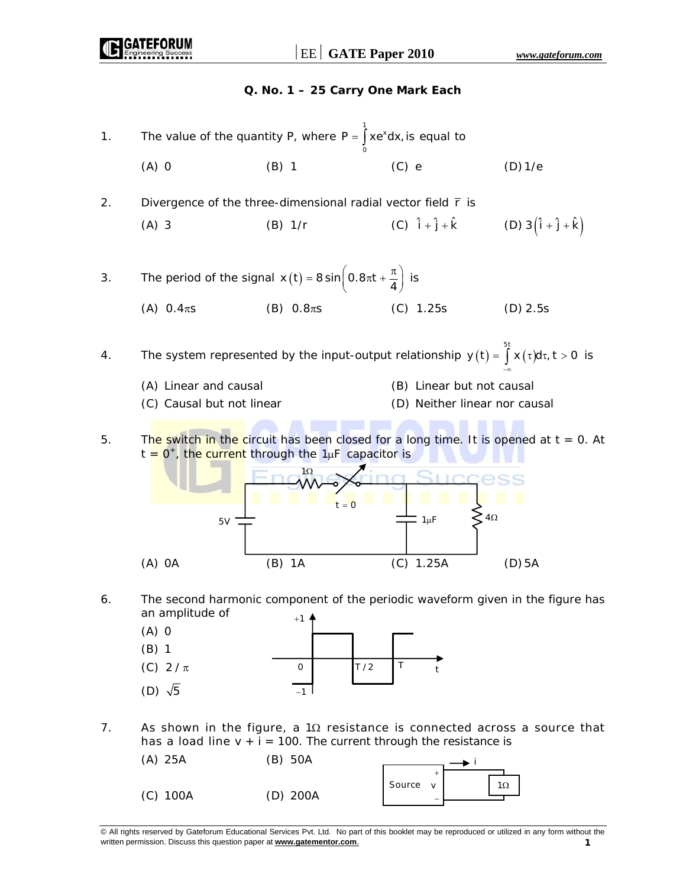

7. As shown in the figure, a 1 $\Omega$  resistance is connected across a source that has a load line  $v + i = 100$ . The current through the resistance is

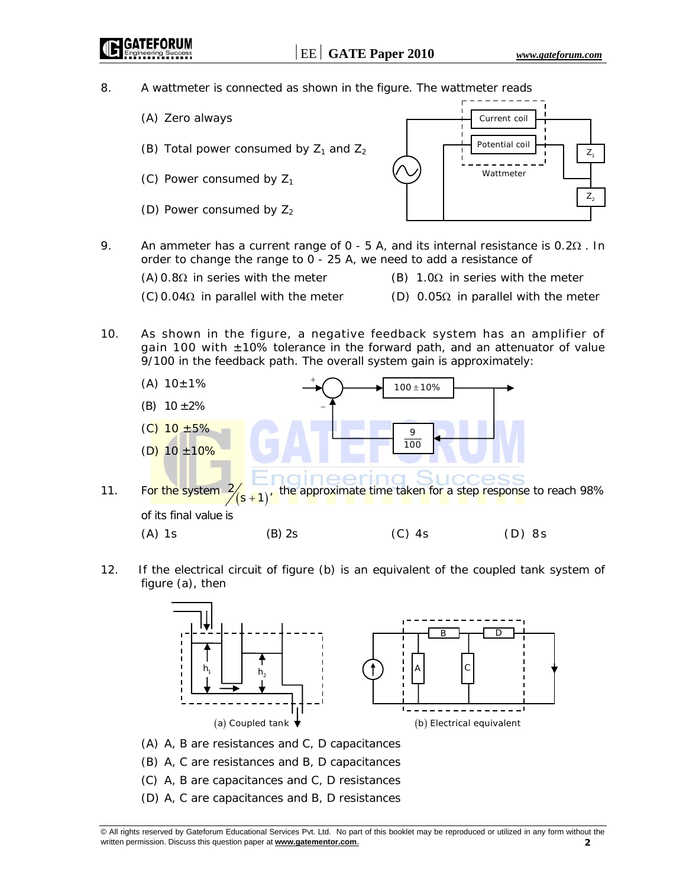8. A wattmeter is connected as shown in the figure. The wattmeter reads

- (A) Zero always
- (B) Total power consumed by  $Z_1$  and  $Z_2$
- (C) Power consumed by  $Z_1$
- (D) Power consumed by  $Z_2$



9. An ammeter has a current range of 0 - 5 A, and its internal resistance is 0.2Ω *.* In order to change the range to 0 - 25 A, we need to add a resistance of

- (A)  $0.8\Omega$  in series with the meter (B) 1.0 $\Omega$  in series with the meter
- $(C)$  0.04Ω in parallel with the meter (D) 0.05Ω in parallel with the meter
- 10. As shown in the figure, a negative feedback system has an amplifier of gain 100 with  $\pm 10\%$  tolerance in the forward path, and an attenuator of value 9/100 in the feedback path. The overall system gain is approximately:



12. If the electrical circuit of figure (b) is an equivalent of the coupled tank system of figure (a), then



- (A) A, B are resistances and C, D capacitances
- (B) A, C are resistances and B, D capacitances
- (C) A, B are capacitances and C, D resistances
- (D) A, C are capacitances and B, D resistances

<sup>©</sup> All rights reserved by Gateforum Educational Services Pvt. Ltd. No part of this booklet may be reproduced or utilized in any form without the written permission. Discuss this question paper at **www.gatementor.com**. **2**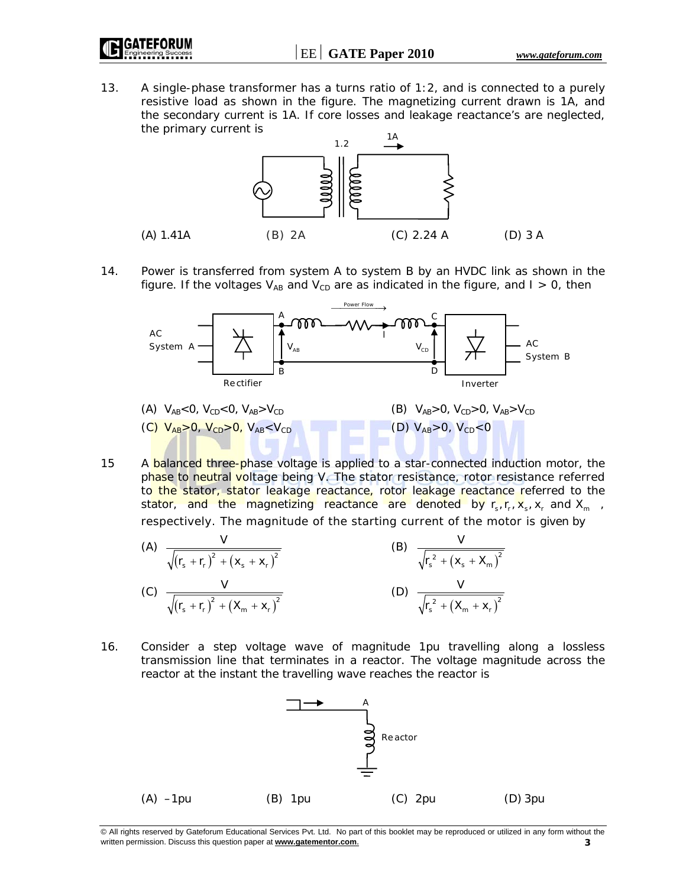13. A single-phase transformer has a turns ratio of 1:2, and is connected to a purely resistive load as shown in the figure. The magnetizing current drawn is 1A, and the secondary current is 1A. If core losses and leakage reactance's are neglected, the primary current is



14. Power is transferred from system A to system B by an HVDC link as shown in the figure. If the voltages  $V_{AB}$  and  $V_{CD}$  are as indicated in the figure, and  $I > 0$ , then



15 A **balanced three-phase voltage is applied to a star-connected induction motor, the** phase to neutral voltage being V*.* The stator resistance, rotor resistance referred to the stator, stator leakage reactance, rotor leakage reactance referred to the stator, and the magnetizing reactance are denoted by  $r_s$ ,  $r_r$ ,  $x_s$ ,  $x_r$  and  $X_m$ , respectively. The magnitude of the starting current of the motor is given by

(A) 
$$
\frac{V}{\sqrt{(r_s + r_r)^2 + (x_s + x_r)^2}}
$$
  
\n(B)  $\frac{V}{\sqrt{r_s^2 + (x_s + X_m)^2}}$   
\n(C)  $\frac{V}{\sqrt{(r_s + r_r)^2 + (X_m + x_r)^2}}$   
\n(D)  $\frac{V}{\sqrt{r_s^2 + (X_m + x_r)^2}}$ 

16. Consider a step voltage wave of magnitude 1pu travelling along a lossless transmission line that terminates in a reactor. The voltage magnitude across the reactor at the instant the travelling wave reaches the reactor is



<sup>©</sup> All rights reserved by Gateforum Educational Services Pvt. Ltd. No part of this booklet may be reproduced or utilized in any form without the written permission. Discuss this question paper at **www.gatementor.com**. **3**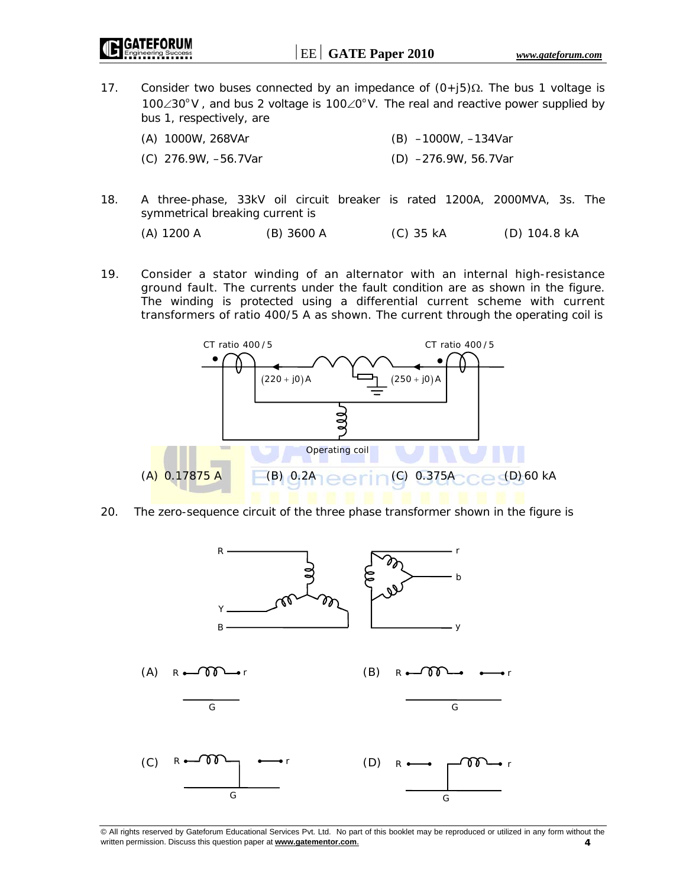17. Consider two buses connected by an impedance of  $(0+j5)\Omega$ . The bus 1 voltage is 100∠30° V, and bus 2 voltage is 100∠0° V. The real and reactive power supplied by bus 1, respectively, are

| (A) 1000W, 268VAr    | (B) -1000W, -134Var  |
|----------------------|----------------------|
| (C) 276.9W, -56.7Var | (D) -276.9W, 56.7Var |

18. A three-phase, 33kV oil circuit breaker is rated 1200A, 2000MVA, 3s. The symmetrical breaking current is

```
 (A) 1200 A (B) 3600 A (C) 35 kA (D) 104.8 kA
```
19. Consider a stator winding of an alternator with an internal high-resistance ground fault. The currents under the fault condition are as shown in the figure. The winding is protected using a differential current scheme with current transformers of ratio 400/5 A as shown. The current through the operating coil is



20. The zero-sequence circuit of the three phase transformer shown in the figure is

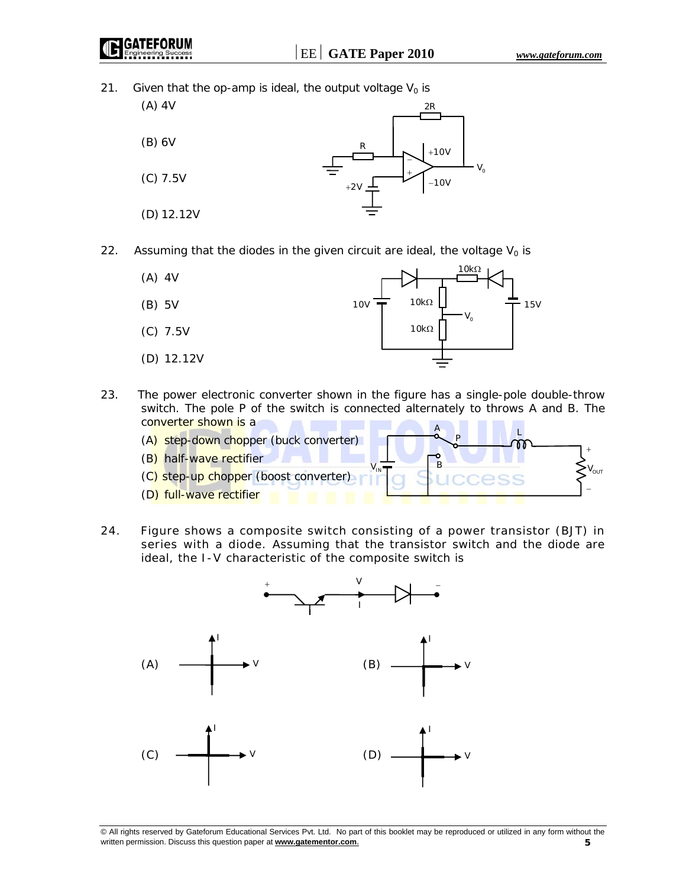21. Given that the op-amp is ideal, the output voltage  $V_0$  is



22. Assuming that the diodes in the given circuit are ideal, the voltage  $V_0$  is

| (A) 4V     | $10k\Omega$                                        |
|------------|----------------------------------------------------|
| (B) 5V     | $10k\Omega$<br><b>10V</b><br><b>15V</b><br>$V_{o}$ |
| $(C)$ 7.5V | $10k\Omega$                                        |
| (D) 12.12V |                                                    |

23. The power electronic converter shown in the figure has a single-pole double-throw switch. The pole P of the switch is connected alternately to throws A and B. The converter shown is a



24. Figure shows a composite switch consisting of a power transistor (BJT) in series with a diode. Assuming that the transistor switch and the diode are ideal, the I-V characteristic of the composite switch is

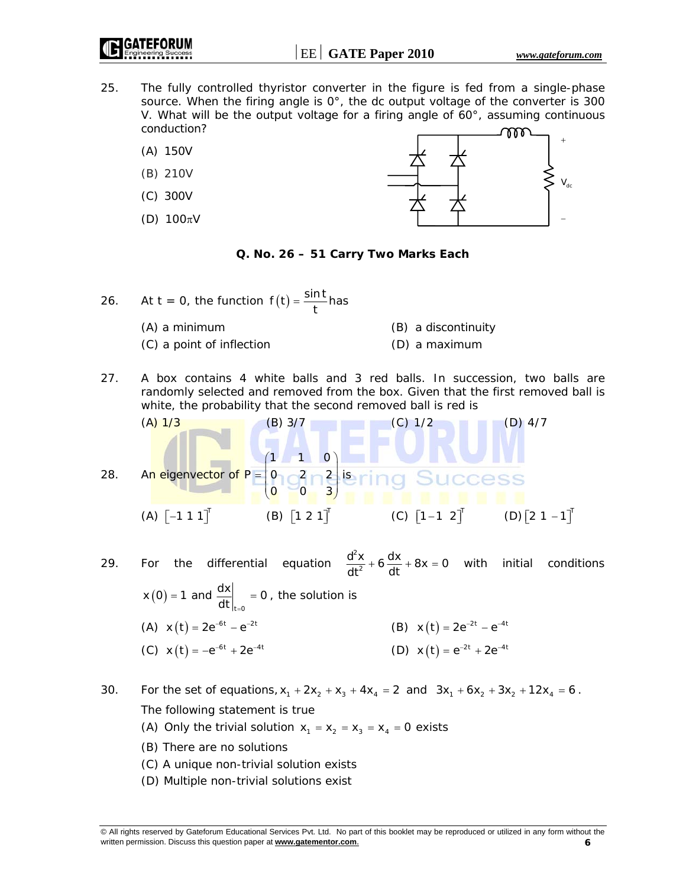- 25. The fully controlled thyristor converter in the figure is fed from a single-phase source. When the firing angle is 0°, the dc output voltage of the converter is 300 V. What will be the output voltage for a firing angle of  $60^\circ$ , assuming continuous conduction?
	- (A) 150V
	- (B) 210V
	- (C) 300V
	- (D)  $100\pi V$



# **Q. No. 26 – 51 Carry Two Marks Each**

- 26. At  $t = 0$ , the function  $f(t) = \frac{\sin t}{t}$  has (A) a minimum (B) a discontinuity (C) a point of inflection (D) a maximum
- 27. A box contains 4 white balls and 3 red balls. In succession, two balls are randomly selected and removed from the box. Given that the first removed ball is white, the probability that the second removed ball is red is

(A) 1/3  
\n28. An eigenvector of 
$$
P = \begin{pmatrix} 1 & 1 & 0 \\ 0 & 0 & 3 \\ 0 & 0 & 3 \end{pmatrix}
$$
 is ring Success  
\n(A)  $\begin{bmatrix} -1 & 1 & 1 \end{bmatrix}^T$  (B)  $\begin{bmatrix} 1 & 2 & 1 \end{bmatrix}^T$  (C)  $\begin{bmatrix} 1 & -1 & 2 \end{bmatrix}^T$  (D)  $\begin{bmatrix} 2 & 1 & -1 \end{bmatrix}^T$ 

29. For the differential equation 
$$
\frac{d^2x}{dt^2} + 6\frac{dx}{dt} + 8x = 0
$$
 with initial conditions  $x(0) = 1$  and  $\frac{dx}{dt}\Big|_{t=0} = 0$ , the solution is  
\n(A)  $x(t) = 2e^{-6t} - e^{-2t}$   
\n(B)  $x(t) = 2e^{-2t} - e^{-4t}$   
\n(C)  $x(t) = -e^{-6t} + 2e^{-4t}$   
\n(D)  $x(t) = e^{-2t} + 2e^{-4t}$ 

30. For the set of equations,  $x_1 + 2x_2 + x_3 + 4x_4 = 2$  and  $3x_1 + 6x_2 + 3x_2 + 12x_4 = 6$ . The following statement is true

- (A) Only the trivial solution  $x_1 = x_2 = x_3 = x_4 = 0$  exists
- (B) There are no solutions
- (C) A unique non-trivial solution exists
- (D) Multiple non-trivial solutions exist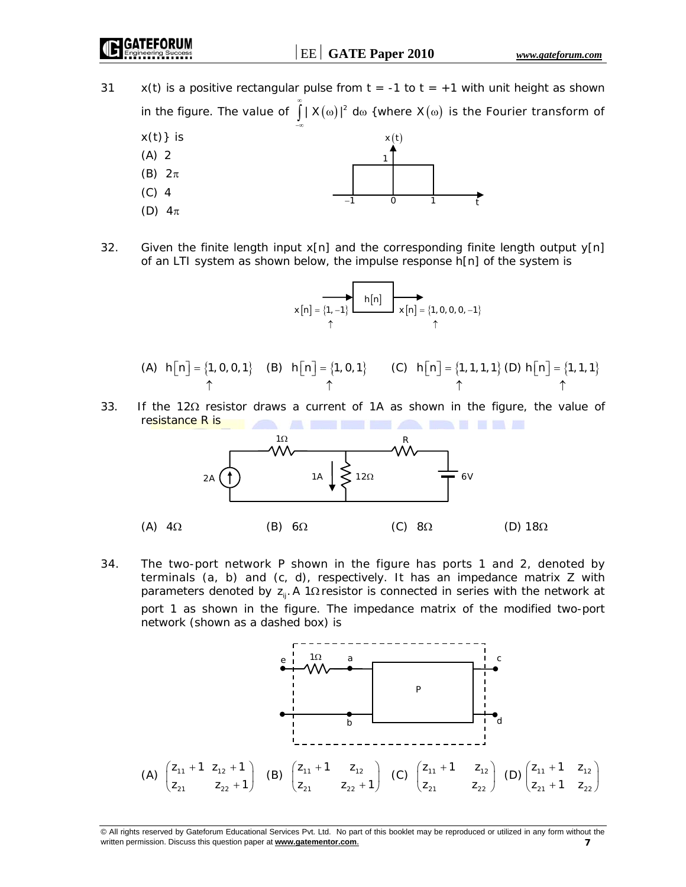⏐EE⏐ **GATE Paper 2010** *www.gateforum.com*

31  $x(t)$  is a positive rectangular pulse from  $t = -1$  to  $t = +1$  with unit height as shown in the figure. The value of  $\int\limits_0^\infty |X(\omega)|^2 \, \mathrm{d}\omega$  {where  $X(\omega)$  is the Fourier transform of −∞



32. Given the finite length input  $x[n]$  and the corresponding finite length output  $y[n]$ of an LTI system as shown below, the impulse response h[n] of the system is

$$
x[n] = \overbrace{\{1,-1\}}^{h[n]} \qquad x[n] = \{1,0,0,0,-1\}
$$

(A) 
$$
h[n] = \{1, 0, 0, 1\}
$$
 (B)  $h[n] = \{1, 0, 1\}$  (C)  $h[n] = \{1, 1, 1, 1\}$  (D)  $h[n] = \{1, 1, 1\}$ 

33. If the 12Ω resistor draws a current of 1A as shown in the figure, the value of resistance R is **All Co I HAN A BAT THE** 



34. The two-port network P shown in the figure has ports 1 and 2, denoted by terminals (a, b) and (c, d), respectively. It has an impedance matrix Z with parameters denoted by  $z_{ii}$ . A 1 $\Omega$  resistor is connected in series with the network at port 1 as shown in the figure. The impedance matrix of the modified two-port network (shown as a dashed box) is



<sup>©</sup> All rights reserved by Gateforum Educational Services Pvt. Ltd. No part of this booklet may be reproduced or utilized in any form without the written permission. Discuss this question paper at **www.gatementor.com**. **7**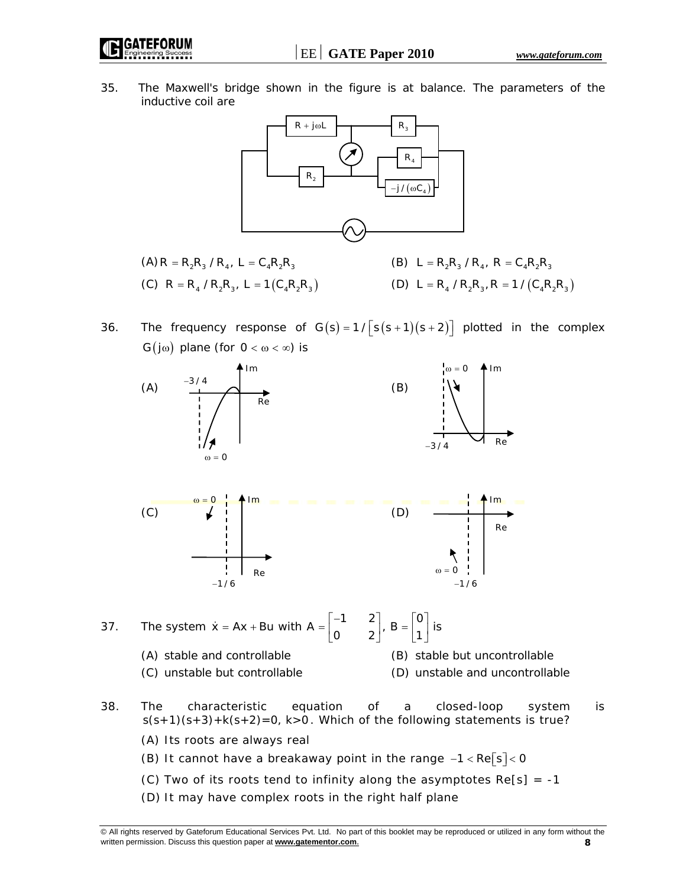⏐EE⏐ **GATE Paper 2010** *www.gateforum.com*

35. The Maxwell's bridge shown in the figure is at balance. The parameters of the inductive coil are



- (A) R = R<sub>2</sub>R<sub>3</sub> / R<sub>4</sub>, L = C<sub>4</sub>R<sub>2</sub>R<sub>3</sub> (B) L = R<sub>2</sub>R<sub>3</sub> / R<sub>4</sub>, R = C<sub>4</sub>R<sub>2</sub>R<sub>3</sub> (C)  $R = R_4 / R_2 R_3$ ,  $L = 1 (C_4 R_2 R_3)$ <br>(D)  $L = R_4 / R_2 R_3$ ,  $R = 1 / (C_4 R_2 R_3)$
- 
- 36. The frequency response of  $G(s) = 1/\lceil s(s + 1)(s + 2) \rceil$  plotted in the complex G( $j\omega$ ) plane (for  $0 < \omega < \infty$ ) is







- 37. The system  $\dot{x} = Ax + Bu$  with  $A = \begin{bmatrix} -1 & 2 \\ 0 & 2 \end{bmatrix}$ ,  $B = \begin{bmatrix} 0 \\ 1 \end{bmatrix}$  is
	- (A) stable and controllable (B) stable but uncontrollable (C) unstable but controllable (D) unstable and uncontrollable
- 38. The characteristic equation of a closed-loop system is s(s+1)(s+3)+k(s+2)=0, k>0*.* Which of the following statements is true?
	- (A) Its roots are always real
	- (B) It cannot have a breakaway point in the range  $-1 < RE\sqrt{S} < 0$
	- (C) Two of its roots tend to infinity along the asymptotes  $Re[s] = -1$
	- (D) It may have complex roots in the right half plane

<sup>©</sup> All rights reserved by Gateforum Educational Services Pvt. Ltd. No part of this booklet may be reproduced or utilized in any form without the written permission. Discuss this question paper at **www.gatementor.com**. **8**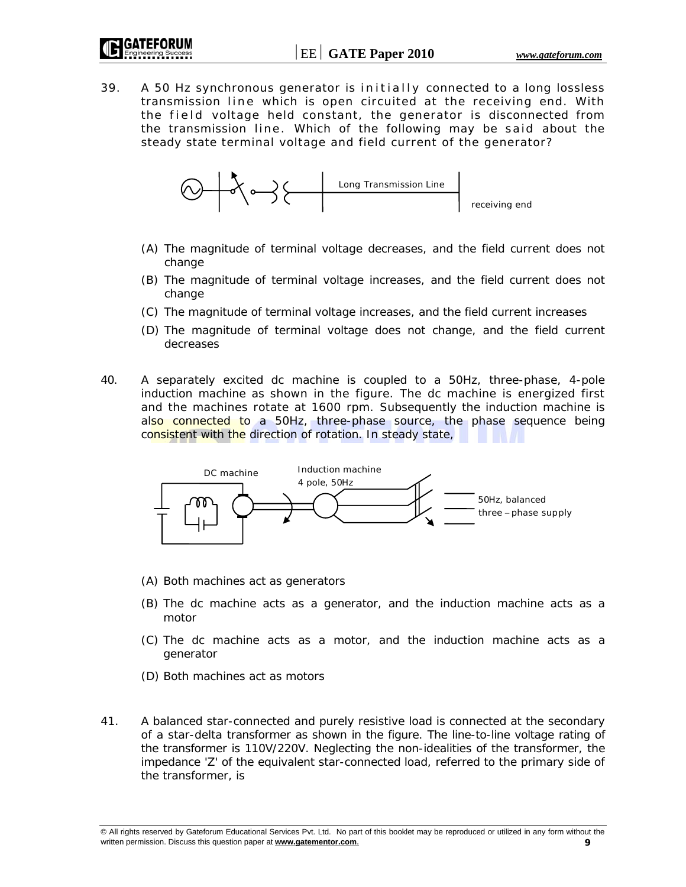39. A 50 Hz synchronous generator is initially connected to a long lossless transmission line which is open circuited at the receiving end. With the field voltage held constant, the generator is disconnected from the transmission line. Which of the following may be said about the steady state terminal voltage and field current of the generator?



- (A) The magnitude of terminal voltage decreases, and the field current does not change
- (B) The magnitude of terminal voltage increases, and the field current does not change
- (C) The magnitude of terminal voltage increases, and the field current increases
- (D) The magnitude of terminal voltage does not change, and the field current decreases
- 40. A separately excited dc machine is coupled to a 50Hz, three-phase, 4-pole induction machine as shown in the figure. The dc machine is energized first and the machines rotate at 1600 rpm. Subsequently the induction machine is also connected to a 50Hz, three-phase source, the phase sequence being consistent with the direction of rotation. In steady state,



- (A) Both machines act as generators
- (B) The dc machine acts as a generator, and the induction machine acts as a motor
- (C) The dc machine acts as a motor, and the induction machine acts as a generator
- (D) Both machines act as motors
- 41. A balanced star-connected and purely resistive load is connected at the secondary of a star-delta transformer as shown in the figure. The line-to-line voltage rating of the transformer is 110V/220V. Neglecting the non-idealities of the transformer, the impedance 'Z' of the equivalent star-connected load, referred to the primary side of the transformer, is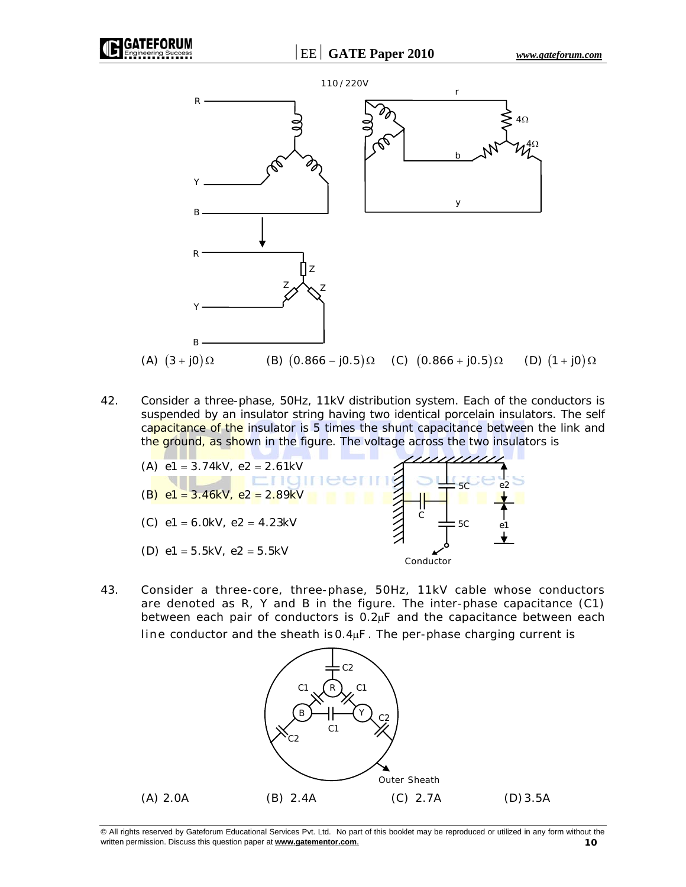

42. Consider a three-phase, 50Hz, 11kV distribution system. Each of the conductors is suspended by an insulator string having two identical porcelain insulators. The self capacitance of the insulator is 5 times the shunt capacitance between the link and the ground, as shown in the figure. The voltage across the two insulators is



43. Consider a three-core, three-phase, 50Hz, 11kV cable whose conductors are denoted as R, Y and B in the figure. The inter-phase capacitance (C1) between each pair of conductors is  $0.2 \mu$ F and the capacitance between each line conductor and the sheath is 0.4<sub>H</sub>F. The per-phase charging current is

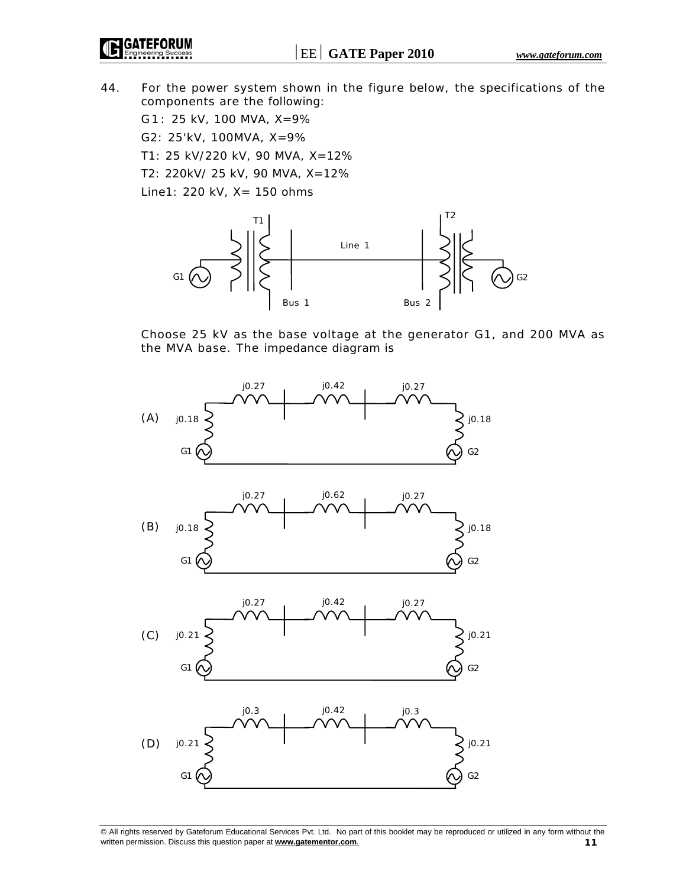IGATEFORUM

44. For the power system shown in the figure below, the specifications of the components are the following:

G 1 : 25 kV, 100 MVA, X=9%

G2: 25'kV, 100MVA, X=9%

T1: 25 kV/220 kV, 90 MVA, X=12%

T2: 220kV/ 25 kV, 90 MVA, X=12%

Line1: 220 kV, X= 150 ohms



 Choose 25 kV as the base voltage at the generator G1, and 200 MVA as the MVA base. The impedance diagram is

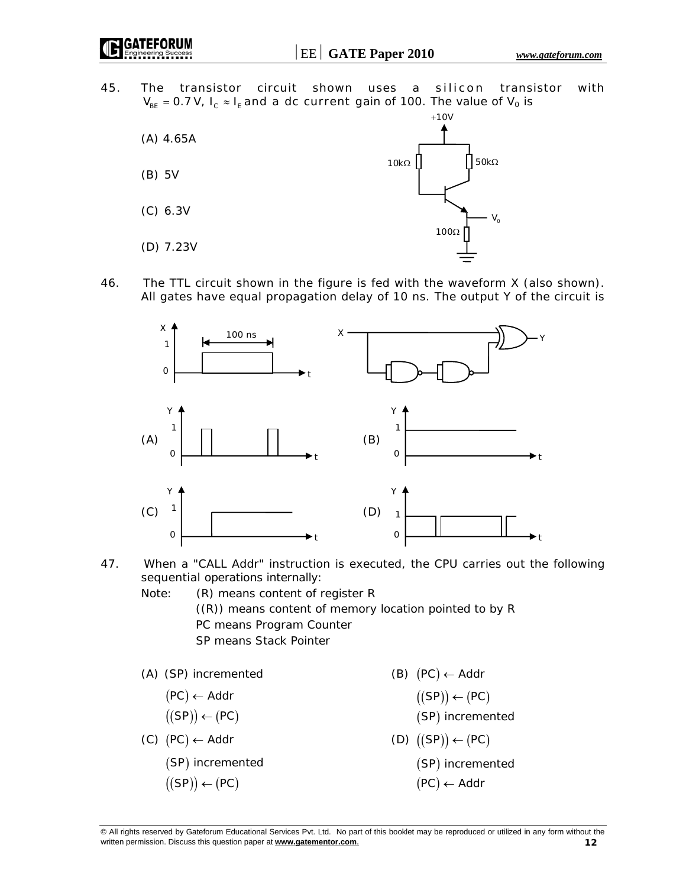GATEFORUM

45. The transistor circuit shown uses a silicon transistor with  $V_{BF}$  = 0.7 V,  $I_c \approx I_F$  and a dc current gain of 100. The value of V<sub>0</sub> is



46. The TTL circuit shown in the figure is fed with the waveform X (also shown). All gates have equal propagation delay of 10 ns. The output Y of the circuit is



- 47. When a "CALL Addr" instruction is executed, the CPU carries out the following sequential operations internally:
	- Note: (R) means content of register R ((R)) means content of memory location pointed to by R PC means Program Counter SP means Stack Pointer
	- (A) (SP) incremented (B)  $(PC) \leftarrow Addr$
- $(PC) \leftarrow$  Addr
	- $\left( \text{(SP)} \right) \leftarrow \left( \text{PC} \right)$
	-
- $(SP)$  incremented  $(SP)$   $(\text{SP}) \leftarrow (\text{PC})$   $(\text{PC})$ 
	- $((SP)) \leftarrow (PC)$
- - $SP() \leftarrow (PC)$
- ← (( )) ( ) ( ) SP incremented
- $(C) (PC) \leftarrow$  Addr  $(D) ((SP)) \leftarrow (PC)$ 
	- (SP) incremented
	- (PC) ← Addr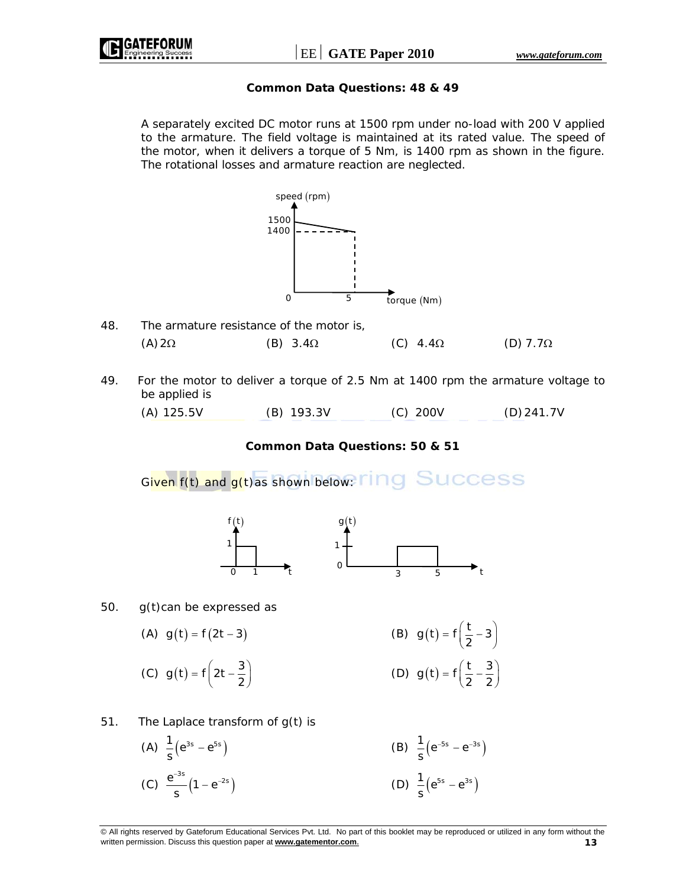

## **Common Data Questions: 48 & 49**

 A separately excited DC motor runs at 1500 rpm under no-load with 200 V applied to the armature. The field voltage is maintained at its rated value. The speed of the motor, when it delivers a torque of 5 Nm, is 1400 rpm as shown in the figure. The rotational losses and armature reaction are neglected.



- 50. *g(t)*can be expressed as
- (A)  $g(t) = f(2t 3)$  (B)  $g(t) = f(\frac{t}{2} 3)$ (C)  $g(t) = f \left( 2t - \frac{3}{2} \right)$  $= f\left(2t - \frac{3}{2}\right)$  (D)  $g(t) = f\left(\frac{t}{2} - \frac{3}{2}\right)$
- 51. The Laplace transform of g(t) is

(A) 
$$
\frac{1}{s}(e^{3s} - e^{5s})
$$
  
\n(B)  $\frac{1}{s}(e^{-5s} - e^{-3s})$   
\n(C)  $\frac{e^{-3s}}{s}(1 - e^{-2s})$   
\n(D)  $\frac{1}{s}(e^{5s} - e^{3s})$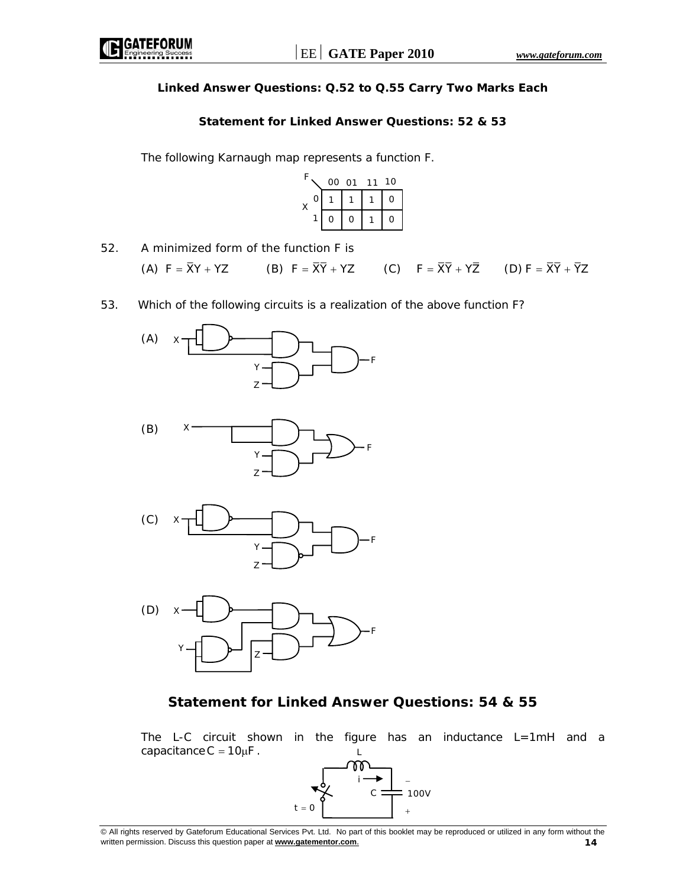# **Linked Answer Questions: Q.52 to Q.55 Carry Two Marks Each**

### **Statement for Linked Answer Questions: 52 & 53**

The following Karnaugh map represents a function F.

| E |   | 00 01 |   | 11 | 10 |
|---|---|-------|---|----|----|
|   | 0 |       |   |    | O  |
|   |   | Ω     | O |    | O  |

- 52. A minimized form of the function *F* is (A)  $F = \overline{X}Y + YZ$  (B)  $F = \overline{X}\overline{Y} + YZ$  (C)  $F = \overline{X}\overline{Y} + Y\overline{Z}$  (D)  $F = \overline{X}\overline{Y} + \overline{Y}Z$
- 53. Which of the following circuits is a realization of the above function F?









# **Statement for Linked Answer Questions: 54 & 55**

The L-C circuit shown in the figure has an inductance  $L=1mH$  and a capacitance  $C = 10 \mu F$ . L

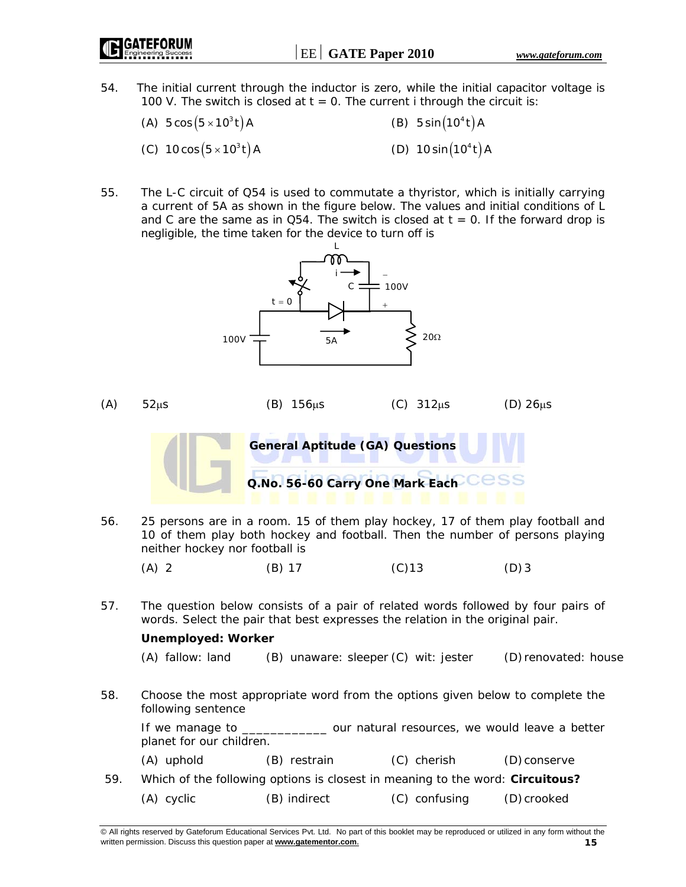- 54. The initial current through the inductor is zero, while the initial capacitor voltage is 100 V. The switch is closed at *t* = 0. The current *i* through the circuit is:
	- (A)  $5 \cos(5 \times 10^3 t)$  A (B)  $5 \sin(10^4 t)$  A (C)  $10 \cos(5 \times 10^3 t)$  A (D)  $10 \sin(10^4 t)$  A
- 55. The L-C circuit of Q54 is used to commutate a thyristor, which is initially carrying a current of 5A as shown in the figure below. The values and initial conditions of L and C are the same as in Q54. The switch is closed at  $t = 0$ . If the forward drop is negligible, the time taken for the device to turn off is

L



56. 25 persons are in a room. 15 of them play hockey, 17 of them play football and 10 of them play both hockey and football. Then the number of persons playing neither hockey nor football is

(A) 2 (B) 17 (C) 13 (D) 3

57. The question below consists of a pair of related words followed by four pairs of words. Select the pair that best expresses the relation in the original pair.

### **Unemployed: Worker**

(A) fallow: land (B) unaware: sleeper (C) wit: jester (D) renovated: house

58. Choose the most appropriate word from the options given below to complete the following sentence

If we manage to entirely our natural resources, we would leave a better planet for our children.

(A) uphold (B) restrain (C) cherish (D) conserve

 59. Which of the following options is closest in meaning to the word: **Circuitous?** (A) cyclic (B) indirect (C) confusing (D) crooked